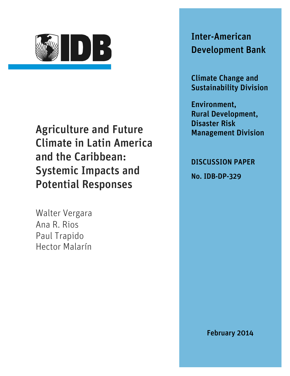

Agriculture and Future Climate in Latin America and the Caribbean: Systemic Impacts and Potential Responses

Walter Vergara Ana R. Rios Paul Trapido Hector Malarín

Inter-American Development Bank

Climate Change and Sustainability Division

Environment, Rural Development, Disaster Risk Management Division

DISCUSSION PAPER

No. IDB-DP-329

February 2014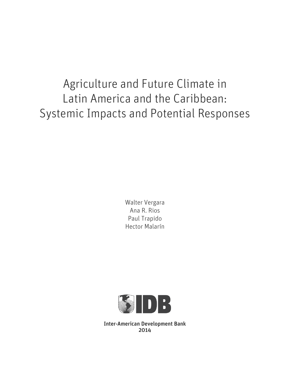Agriculture and Future Climate in Latin America and the Caribbean: Systemic Impacts and Potential Responses

> Walter Vergara Ana R. Rios Paul Trapido Hector Malarín



Inter-American Development Bank 2014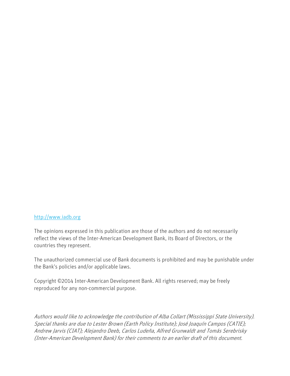### [http://www.iadb.org](http://www.iadb.org/)

The opinions expressed in this publication are those of the authors and do not necessarily reflect the views of the Inter-American Development Bank, its Board of Directors, or the countries they represent.

The unauthorized commercial use of Bank documents is prohibited and may be punishable under the Bank's policies and/or applicable laws.

Copyright ©2014 Inter-American Development Bank. All rights reserved; may be freely reproduced for any non-commercial purpose.

Authors would like to acknowledge the contribution of Alba Collart (Mississippi State University). Special thanks are due to Lester Brown (Earth Policy Institute); José Joaquín Campos (CATIE); Andrew Jarvis (CIAT); Alejandro Deeb, Carlos Ludeña, Alfred Grunwaldt and Tomás Serebrisky (Inter-American Development Bank) for their comments to an earlier draft of this document.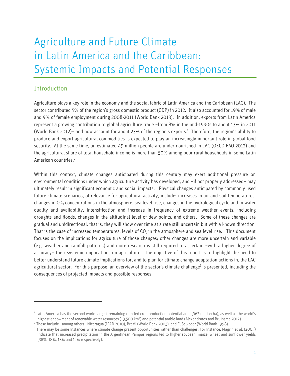# Agriculture and Future Climate in Latin America and the Caribbean: Systemic Impacts and Potential Responses

# Introduction

j

Agriculture plays a key role in the economy and the social fabric of Latin America and the Caribbean (LAC). The sector contributed 5% of the region's gross domestic product (GDP) in 2012. It also accounted for 19% of male and 9% of female employment during 2008-2011 (World Bank 2013). In addition, exports from Latin America represent a growing contribution to global agriculture trade −from 8% in the mid-1990s to about 13% in 2011 (World Bank 2012)− and now account for about 23% of the region's exports. 1 Therefore, the region's ability to produce and export agricultural commodities is expected to play an increasingly important role in global food security. At the same time, an estimated 49 million people are under-nourished in LAC (OECD-FAO 2012) and the agricultural share of total household income is more than 50% among poor rural households in some Latin American countries. 2

Within this context, climate changes anticipated during this century may exert additional pressure on environmental conditions under which agriculture activity has developed, and −if not properly addressed− may ultimately result in significant economic and social impacts. Physical changes anticipated by commonly used future climate scenarios, of relevance for agricultural activity, include: increases in air and soil temperatures, changes in  $CO<sub>2</sub>$  concentrations in the atmosphere, sea level rise, changes in the hydrological cycle and in water quality and availability, intensification and increase in frequency of extreme weather events, including droughts and floods, changes in the altitudinal level of dew points, and others. Some of these changes are gradual and unidirectional, that is, they will show over time at a rate still uncertain but with a known direction. That is the case of increased temperatures, levels of  $CO<sub>2</sub>$  in the atmosphere and sea level rise. This document focuses on the implications for agriculture of those changes; other changes are more uncertain and variable (e.g. weather and rainfall patterns) and more research is still required to ascertain −with a higher degree of accuracy− their systemic implications on agriculture. The objective of this report is to highlight the need to better understand future climate implications for, and to plan for climate change adaptation actions in, the LAC agricultural sector. For this purpose, an overview of the sector's climate challenge<sup>3</sup> is presented, including the consequences of projected impacts and possible responses.

<sup>&</sup>lt;sup>1</sup> Latin America has the second world largest remaining rain-fed crop production potential area (363 million ha), as well as the world's highest endowment of renewable water resources (13,500 km<sup>3</sup>) and potential arable land (Alexandratos and Bruinsma 2012).

<sup>2</sup> These include –among others− Nicaragua (IFAD 2010), Brazil (World Bank 2003), and El Salvador (World Bank 1998).

<sup>3</sup> There may be some instances where climate change present opportunities rather than challenges. For instance, Magrin et al. (2005) indicate that increased precipitation in the Argentinean Pampas regions led to higher soybean, maize, wheat and sunflower yields (38%, 18%, 13% and 12% respectively).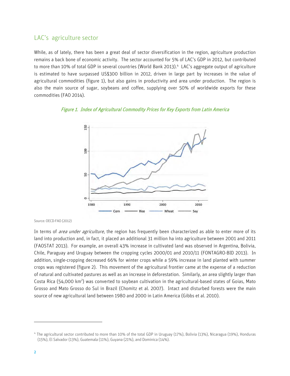# LAC's agriculture sector

While, as of lately, there has been a great deal of sector diversification in the region, agriculture production remains a back bone of economic activity. The sector accounted for 5% of LAC's GDP in 2012, but contributed to more than 10% of total GDP in several countries (World Bank 2013).<sup>4</sup> LAC's aggregate output of agriculture is estimated to have surpassed US\$300 billion in 2012, driven in large part by increases in the value of agricultural commodities (figure 1), but also gains in productivity and area under production. The region is also the main source of sugar, soybeans and coffee, supplying over 50% of worldwide exports for these commodities (FAO 2014).

#### Figure 1. Index of Agricultural Commodity Prices for Key Exports from Latin America



Source: OECD-FAO (2012)

In terms of *area under agriculture*, the region has frequently been characterized as able to enter more of its land into production and, in fact, it placed an additional 31 million ha into agriculture between 2001 and 2011 (FAOSTAT 2013). For example, an overall 43% increase in cultivated land was observed in Argentina, Bolivia, Chile, Paraguay and Uruguay between the cropping cycles 2000/01 and 2010/11 (FONTAGRO-BID 2013). In addition, single-cropping decreased 66% for winter crops while a 59% increase in land planted with summer crops was registered (figure 2). This movement of the agricultural frontier came at the expense of a reduction of natural and cultivated pastures as well as an increase in deforestation. Similarly, an area slightly larger than Costa Rica (54,000 km<sup>2</sup>) was converted to soybean cultivation in the agricultural-based states of Goias, Mato Grosso and Mato Grosso do Sul in Brazil (Chomitz et al. 2007). Intact and disturbed forests were the main source of new agricultural land between 1980 and 2000 in Latin America (Gibbs et al. 2010).

<sup>4</sup> The agricultural sector contributed to more than 10% of the total GDP in Uruguay (17%), Bolivia (13%), Nicaragua (19%), Honduras (15%), El Salvador (13%), Guatemala (11%), Guyana (21%), and Dominica (14%).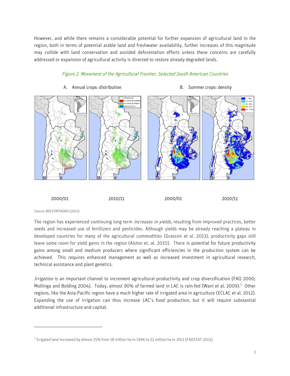However, and while there remains a considerable potential for further expansion of agricultural land in the region, both in terms of potential arable land and freshwater availability, further increases of this magnitude may collide with land conservation and avoided deforestation efforts unless these concerns are carefully addressed or expansion of agricultural activity is directed to restore already degraded lands.

#### Figure 2. Movement of the Agricultural Frontier, Selected South American Countries



#### A. Annual crops: distribution by the same crops: density

2000/01 2010/11 2000/01 2010/11

Source: BID-FONTAGRO (2013)

j

The region has experienced continuing long term *increases in yields*, resulting from improved practices, better seeds and increased use of fertilizers and pesticides. Although yields may be already reaching a plateau in developed countries for many of the agricultural commodities (Grassini et al. 2013), productivity gaps still leave some room for yield gains in the region (Alston et. al. 2010). There is potential for future productivity gains among small and medium producers where significant efficiencies in the production system can be achieved. This requires enhanced management as well as increased investment in agricultural research, technical assistance and plant genetics.

Irrigation is an important channel to increment agricultural productivity and crop diversification (FAO 2000; Mollinga and Bolding 2004). Today, almost 90% of farmed land in LAC is rain-fed (Wani et al. 2009).<sup>5</sup> Other regions, like the Asia-Pacific region have a much higher rate of irrigated area in agriculture (ECLAC et al. 2012). Expanding the use of irrigation can thus increase LAC's food production, but it will require substantial additional infrastructure and capital.

<sup>5</sup> Irrigated land increased by almost 25% from 18 million ha in 1996 to 22 million ha in 2011 (FAOSTAT 2013).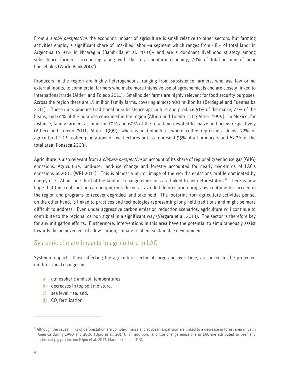From a *social perspective*, the economic impact of agriculture is small relative to other sectors, but farming activities employ a significant share of unskilled labor −a segment which ranges from 48% of total labor in Argentina to 91% in Nicaragua (Bambrilla et al. 2010)− and are a dominant livelihood strategy among subsistence farmers, accounting along with the rural nonfarm economy, 70% of total income of poor households (World Bank 2007).

Producers in the region are highly heterogeneous, ranging from subsistence farmers, who use few or no external inputs, to commercial farmers who make more intensive use of agrochemicals and are closely linked to international trade (Altieri and Toledo 2011). Smallholder farms are highly relevant for food security purposes. Across the region there are 15 million family farms, covering almost 400 million ha (Berdegué and Fuentealba 2011). These units practice traditional or subsistence agriculture and produce 51% of the maize, 77% of the beans, and 61% of the potatoes consumed in the region (Altieri and Toledo 2011; Altieri 1999). In Mexico, for instance, family farmers account for 70% and 60% of the total land devoted to maize and beans respectively (Altieri and Toledo 2011; Altieri 1999); whereas in Colombia −where coffee represents almost 22% of agricultural GDP− coffee plantations of five hectares or less represent 95% of all producers and 62.2% of the total area (Fonseca 2003).

Agriculture is also relevant from a *climate perspective* on account of its share of regional greenhouse gas (GHG) emissions. Agriculture, land-use, land-use change and forestry accounted for nearly two-thirds of LAC's emissions in 2005 (WRI 2012). This is almost a mirror image of the world's emissions profile dominated by energy use. About one third of the land-use change emissions are linked to net deforestation. 6 There is now hope that this contribution can be quickly reduced as avoided deforestation programs continue to succeed in the region and programs to recover degraded land take hold. The footprint from agriculture activities per se, on the other hand, is linked to practices and technologies representing long-held traditions and might be more difficult to address. Even under aggressive carbon emission reduction scenarios, agriculture will continue to contribute to the regional carbon signal in a significant way (Vergara et al. 2013). The sector is therefore key for any mitigation efforts. Furthermore, interventions in this area have the potential to simultaneously assist towards the achievement of a low-carbon, climate-resilient sustainable development.

# Systemic climate impacts in agriculture in LAC

Systemic impacts, those affecting the agriculture sector at large and over time, are linked to the projected unidirectional changes in:

- a) atmospheric and soil temperatures;
- b) decreases in top soil moisture;
- c) sea level rise; and,
- d)  $CO<sub>2</sub>$  fertilization.

<sup>6</sup> Although the causal links of deforestation are complex, maize and soybean expansion are linked to a decrease in forest area in Latin America during 1990 and 2006 (Opio et al. 2013). In addition, land use change emissions in LAC are attributed to beef and industrial pig production (Opio et al. 2013, MacLeod et al. 2013).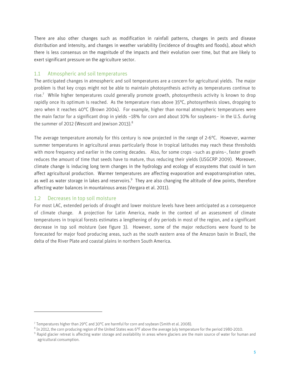There are also other changes such as modification in rainfall patterns, changes in pests and disease distribution and intensity, and changes in weather variability (incidence of droughts and floods), about which there is less consensus on the magnitude of the impacts and their evolution over time, but that are likely to exert significant pressure on the agriculture sector.

## 1.1 Atmospheric and soil temperatures

The anticipated changes in atmospheric and soil temperatures are a concern for agricultural yields. The major problem is that key crops might not be able to maintain photosynthesis activity as temperatures continue to rise.<sup>7</sup> While higher temperatures could generally promote growth, photosynthesis activity is known to drop rapidly once its optimum is reached. As the temperature rises above 35°C, photosynthesis slows, dropping to zero when it reaches 40°C (Brown 2004). For example, higher than normal atmospheric temperatures were the main factor for a significant drop in yields −18% for corn and about 10% for soybeans− in the U.S. during the summer of 2012 (Wescott and Jewison 2013). $^8$ 

The average temperature anomaly for this century is now projected in the range of 2-6°C. However, warmer summer temperatures in agricultural areas particularly those in tropical latitudes may reach these thresholds with more frequency and earlier in the coming decades. Also, for some crops −such as grains−, faster growth reduces the amount of time that seeds have to mature, thus reducing their yields (USGCRP 2009). Moreover, climate change is inducing long term changes in the hydrology and ecology of ecosystems that could in turn affect agricultural production. Warmer temperatures are affecting evaporation and evapotranspiration rates, as well as water storage in lakes and reservoirs.<sup>9</sup> They are also changing the altitude of dew points, therefore affecting water balances in mountainous areas (Vergara et al. 2011).

# 1.2 Decreases in top soil moisture

j

For most LAC, extended periods of drought and lower moisture levels have been anticipated as a consequence of climate change. A projection for Latin America, made in the context of an assessment of climate temperatures in tropical forests estimates a lengthening of dry periods in most of the region, and a significant decrease in top soil moisture (see figure 3). However, some of the major reductions were found to be forecasted for major food producing areas, such as the south eastern area of the Amazon basin in Brazil, the delta of the River Plate and coastal plains in northern South America.

 $^7$  Temperatures higher than 29°C and 30°C are harmful for corn and soybean (Smith et al. 2008).

 $^8$  In 2012, the corn producing region of the United States was 6°F above the average July temperature for the period 1980-2010.

<sup>&</sup>lt;sup>9</sup> Rapid glacier retreat is affecting water storage and availability in areas where glaciers are the main source of water for human and agricultural consumption.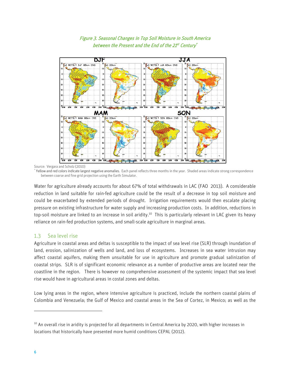

# Figure 3. Seasonal Changes in Top Soil Moisture in South America between the Present and the End of the 21st Century $^\star$

Source: Vergara and Scholz (2010)

\* Yellow and red colors indicate largest negative anomalies. Each panel reflects three months in the year. Shaded areas indicate strong correspondence between coarse and fine grid projection using the Earth Simulator.

Water for agriculture already accounts for about 67% of total withdrawals in LAC (FAO 2013). A considerable reduction in land suitable for rain-fed agriculture could be the result of a decrease in top soil moisture and could be exacerbated by extended periods of drought. Irrigation requirements would then escalate placing pressure on existing infrastructure for water supply and increasing production costs. In addition, reductions in top-soil moisture are linked to an increase in soil aridity.<sup>10</sup> This is particularly relevant in LAC given its heavy reliance on rain-fed production systems, and small-scale agriculture in marginal areas.

# 1.3 Sea level rise

Agriculture in coastal areas and deltas is susceptible to the impact of sea level rise (SLR) through inundation of land, erosion, salinization of wells and land, and loss of ecosystems. Increases in sea water intrusion may affect coastal aquifers, making them unsuitable for use in agriculture and promote gradual salinization of coastal strips. SLR is of significant economic relevance as a number of productive areas are located near the coastline in the region. There is however no comprehensive assessment of the systemic impact that sea level rise would have in agricultural areas in costal zones and deltas.

Low lying areas in the region, where intensive agriculture is practiced, include the northern coastal plains of Colombia and Venezuela; the Gulf of Mexico and coastal areas in the Sea of Cortez, in Mexico; as well as the

 $10$  An overall rise in aridity is projected for all departments in Central America by 2020, with higher increases in locations that historically have presented more humid conditions CEPAL (2012).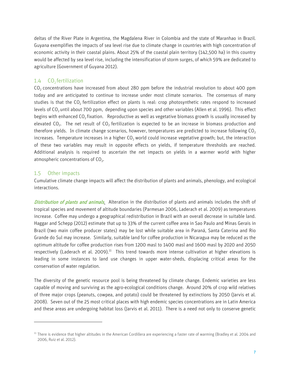deltas of the River Plate in Argentina, the Magdalena River in Colombia and the state of Maranhao in Brazil. Guyana exemplifies the impacts of sea level rise due to climate change in countries with high concentration of economic activity in their coastal plains. About 25% of the coastal plain territory (142,500 ha) in this country would be affected by sea level rise, including the intensification of storm surges, of which 59% are dedicated to agriculture (Government of Guyana 2012).

### 1.4  $CO<sub>2</sub>$  fertilization

 $CO<sub>2</sub>$  concentrations have increased from about 280 ppm before the industrial revolution to about 400 ppm today and are anticipated to continue to increase under most climate scenarios. The consensus of many studies is that the  $CO<sub>2</sub>$  fertilization effect on plants is real: crop photosynthetic rates respond to increased levels of CO<sub>2</sub> until about 700 ppm, depending upon species and other variables (Allen et al. 1996). This effect begins with enhanced  $CO<sub>2</sub>$  fixation. Reproductive as well as vegetative biomass growth is usually increased by elevated CO<sub>2</sub>. The net result of CO<sub>2</sub> fertilization is expected to be an increase in biomass production and therefore yields. In climate change scenarios, however, temperatures are predicted to increase following CO<sub>2</sub> increases. Temperature increases in a higher  $CO<sub>2</sub>$  world could increase vegetative growth; but, the interaction of these two variables may result in opposite effects on yields, if temperature thresholds are reached. Additional analysis is required to ascertain the net impacts on yields in a warmer world with higher atmospheric concentrations of CO<sub>2</sub>.

## 1.5 Other impacts

j

Cumulative climate change impacts will affect the distribution of plants and animals, phenology, and ecological interactions.

Distribution of plants and animals. Alteration in the distribution of plants and animals includes the shift of tropical species and movement of altitude boundaries (Parmesan 2006, Laderach et al. 2009) as temperatures increase. Coffee may undergo a geographical redistribution in Brazil with an overall decrease in suitable land. Haggar and Schepp (2012) estimate that up to 33% of the current coffee area in Sao Paulo and Minas Gerais in Brazil (two main coffee producer states) may be lost while suitable area in Paraná, Santa Caterina and Rio Grande do Sul may increase. Similarly, suitable land for coffee production in Nicaragua may be reduced as the optimum altitude for coffee production rises from 1200 masl to 1400 masl and 1600 masl by 2020 and 2050 respectively (Laderach et al. 2009).<sup>11</sup> This trend towards more intense cultivation at higher elevations is leading in some instances to land use changes in upper water-sheds, displacing critical areas for the conservation of water regulation.

The diversity of the genetic resource pool is being threatened by climate change. Endemic varieties are less capable of moving and surviving as the agro-ecological conditions change. Around 20% of crop wild relatives of three major crops (peanuts, cowpea, and potato) could be threatened by extinctions by 2050 (Jarvis et al. 2008). Seven out of the 25 most critical places with high endemic species concentrations are in Latin America and these areas are undergoing habitat loss (Jarvis et al. 2011). There is a need not only to conserve genetic

<sup>&</sup>lt;sup>11</sup> There is evidence that higher altitudes in the American Cordillera are experiencing a faster rate of warming (Bradley et al. 2004 and 2006, Ruiz et al. 2012).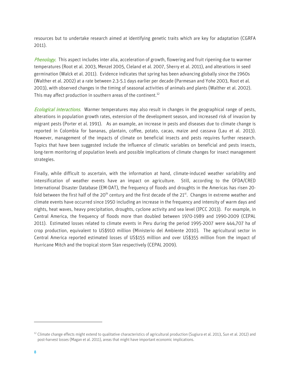resources but to undertake research aimed at identifying genetic traits which are key for adaptation (CGRFA 2011).

Phenology. This aspect includes inter alia, acceleration of growth, flowering and fruit ripening due to warmer temperatures (Root et al. 2003, Menzel 2005, Cleland et al. 2007, Sherry et al. 2011), and alterations in seed germination (Walck et al. 2011). Evidence indicates that spring has been advancing globally since the 1960s (Walther et al. 2002) at a rate between 2.3-5.1 days earlier per decade (Parmesan and Yohe 2003, Root et al. 2003), with observed changes in the timing of seasonal activities of animals and plants (Walther et al. 2002). This may affect production in southern areas of the continent. $^{12}$ 

Ecological interactions. Warmer temperatures may also result in changes in the geographical range of pests, alterations in population growth rates, extension of the development season, and increased risk of invasion by migrant pests (Porter et al. 1991). As an example, an increase in pests and diseases due to climate change is reported in Colombia for bananas, plantain, coffee, potato, cacao, maize and cassava (Lau et al. 2013). However, management of the impacts of climate on beneficial insects and pests requires further research. Topics that have been suggested include the influence of climatic variables on beneficial and pests insects, long-term monitoring of population levels and possible implications of climate changes for insect management strategies.

Finally, while difficult to ascertain, with the information at hand, climate-induced weather variability and intensification of weather events have an impact on agriculture. Still, according to the OFDA/CRED International Disaster Database (EM-DAT), the frequency of floods and droughts in the Americas has risen 20 fold between the first half of the 20<sup>th</sup> century and the first decade of the 21st. Changes in extreme weather and climate events have occurred since 1950 including an increase in the frequency and intensity of warm days and nights, heat waves, heavy precipitation, droughts, cyclone activity and sea level (IPCC 2013). For example, in Central America, the frequency of floods more than doubled between 1970-1989 and 1990-2009 (CEPAL 2011). Estimated losses related to climate events in Peru during the period 1995-2007 were 444,707 ha of crop production, equivalent to US\$910 million (Ministerio del Ambiente 2010). The agricultural sector in Central America reported estimated losses of US\$155 million and over US\$355 million from the impact of Hurricane Mitch and the tropical storm Stan respectively (CEPAL 2009).

<sup>&</sup>lt;sup>12</sup> Climate change effects might extend to qualitative characteristics of agricultural production (Sugiura et al. 2013, Sun et al. 2012) and post-harvest losses (Magan et al. 2011), areas that might have important economic implications.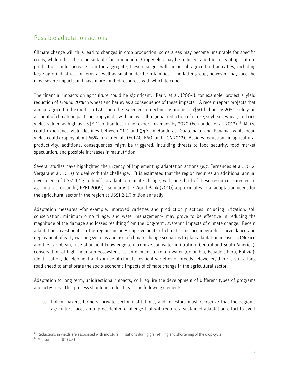# Possible adaptation actions

Climate change will thus lead to changes in crop production: some areas may become unsuitable for specific crops, while others become suitable for production. Crop yields may be reduced, and the costs of agriculture production could increase. On the aggregate, these changes will impact all agricultural activities, including large agro-industrial concerns as well as smallholder farm families. The latter group, however, may face the most severe impacts and have more limited resources with which to cope.

The financial impacts on agriculture could be significant. Parry et al. (2004), for example, project a yield reduction of around 20% in wheat and barley as a consequence of these impacts. A recent report projects that annual agricultural exports in LAC could be expected to decline by around US\$50 billion by 2050 solely on account of climate impacts on crop yields, with an overall regional reduction of maize, soybean, wheat, and rice yields valued as high as US\$8-11 billion loss in net export revenues by 2020 (Fernandes et al. 2012). <sup>13</sup> Maize could experience yield declines between 21% and 34% in Honduras, Guatemala, and Panama, while bean yields could drop by about 66% in Guatemala (ECLAC, FAO, and IICA 2012). Besides reductions in agricultural productivity, additional consequences might be triggered, including threats to food security, food market speculation, and possible increases in malnutrition.

Several studies have highlighted the urgency of implementing adaptation actions (e.g. Fernandes et al. 2012; Vergara et al. 2013) to deal with this challenge. It is estimated that the region requires an additional annual investment of USS1.1-1.3 billion<sup>14</sup> to adapt to climate change, with one-third of these resources directed to agricultural research (IFPRI 2009). Similarly, the World Bank (2010) approximates total adaptation needs for the agricultural sector in the region at US\$1.2-1.3 billion annually.

Adaptation measures –for example, improved varieties and production practices including irrigation, soil conservation, minimum o no tillage, and water management− may prove to be effective in reducing the magnitude of the damage and losses resulting from the long-term, systemic impacts of climate change. Recent adaptation investments in the region include: improvements of climatic and oceanographic surveillance and deployment of early warning systems and use of climate change scenarios to plan adaptation measures (Mexico and the Caribbean); use of ancient knowledge to maximize soil water infiltration (Central and South America); conservation of high mountain ecosystems as an element to retain water (Colombia, Ecuador, Peru, Bolivia); identification, development and /or use of climate resilient varieties or breeds. However, there is still a long road ahead to ameliorate the socio-economic impacts of climate change in the agricultural sector.

Adaptation to long term, unidirectional impacts, will require the development of different types of programs and activities. This process should include at least the following elements:

a) Policy makers, farmers, private sector institutions, and investors must recognize that the region's agriculture faces an unprecedented challenge that will require a sustained adaptation effort to avert

<sup>&</sup>lt;sup>13</sup> Reductions in yields are associated with moisture limitations during grain-filling and shortening of the crop cycle.

<sup>&</sup>lt;sup>14</sup> Measured in 2000 US\$.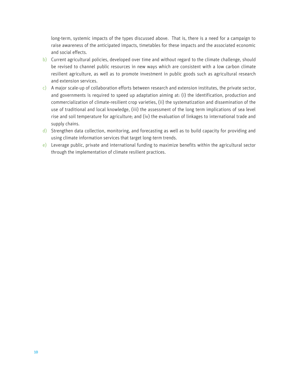long-term, systemic impacts of the types discussed above. That is, there is a need for a campaign to raise awareness of the anticipated impacts, timetables for these impacts and the associated economic and social effects.

- b) Current agricultural policies, developed over time and without regard to the climate challenge, should be revised to channel public resources in new ways which are consistent with a low carbon climate resilient agriculture, as well as to promote investment in public goods such as agricultural research and extension services.
- $c)$  A major scale-up of collaboration efforts between research and extension institutes, the private sector, and governments is required to speed up adaptation aiming at: (i) the identification, production and commercialization of climate-resilient crop varieties, (ii) the systematization and dissemination of the use of traditional and local knowledge, (iii) the assessment of the long term implications of sea level rise and soil temperature for agriculture; and (iv) the evaluation of linkages to international trade and supply chains.
- d) Strengthen data collection, monitoring, and forecasting as well as to build capacity for providing and using climate information services that target long-term trends.
- e) Leverage public, private and international funding to maximize benefits within the agricultural sector through the implementation of climate resilient practices.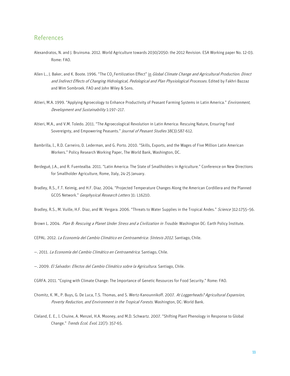# References

- Alexandratos, N. and J. Bruinsma. 2012. World Agriculture towards 2030/2050: the 2012 Revision. ESA Working paper No. 12-03. Rome: FAO.
- Allen L., J. Baker, and K. Boote. 1996. "The CO<sub>2</sub> Fertilization Effect" in Global Climate Change and Agricultural Production: Direct and Indirect Effects of Changing Hidrological, Pedological and Plan Physiological Processes. Edited by Fakhri Bazzaz and Wim Sombroek. FAO and John Wiley & Sons.
- Altieri, M.A. 1999. "Applying Agroecology to Enhance Productivity of Peasant Farming Systems in Latin America." Environment, Development and Sustainability 1:197–217.
- Altieri, M.A., and V.M. Toledo. 2011. "The Agroecological Revolution in Latin America: Rescuing Nature, Ensuring Food Sovereignty, and Empowering Peasants." Journal of Peasant Studies 38(3):587-612.
- Bambrilla, I., R.D. Carneiro, D. Lederman, and G. Porto. 2010. "Skills, Exports, and the Wages of Five Million Latin American Workers." Policy Research Working Paper, The World Bank, Washington, DC.
- Berdegué, J.A., and R. Fuentealba. 2011. "Latin America: The State of Smallholders in Agriculture." Conference on New Directions for Smallholder Agriculture, Rome, Italy, 24-25 January.
- Bradley, R.S., F.T. Keimig, and H.F. Diaz. 2004. "Projected Temperature Changes Along the American Cordillera and the Planned GCOS Network." Geophysical Research Letters 31: L16210.

Bradley, R.S., M. Vuille, H.F. Diaz, and W. Vergara. 2006. "Threats to Water Supplies in the Tropical Andes." Science 312:1755-56.

Brown L. 2004. Plan B: Rescuing a Planet Under Stress and a Civilization in Trouble. Washington DC: Earth Policy Institute.

CEPAL. 2012. La Economía del Cambio Climático en Centroamérica: Síntesis 2012. Santiago, Chile.

—. 2011. La Economía del Cambio Climático en Centroamérica. Santiago, Chile.

—. 2009. El Salvador: Efectos del Cambio Climático sobre la Agricultura. Santiago, Chile.

CGRFA. 2011. "Coping with Climate Change: The Importance of Genetic Resources for Food Security." Rome: FAO.

- Chomitz, K. M., P. Buys, G. De Luca, T.S. Thomas, and S. Wertz-Kanounnikoff. 2007. At Loggerheads? Agricultural Expansion, Poverty Reduction, and Environment in the Tropical Forests. Washington, DC: World Bank.
- Cleland, E. E., I. Chuine, A. Menzel, H.A. Mooney, and M.D. Schwartz. 2007. "Shifting Plant Phenology in Response to Global Change." Trends Ecol. Evol. 22(7): 357-65.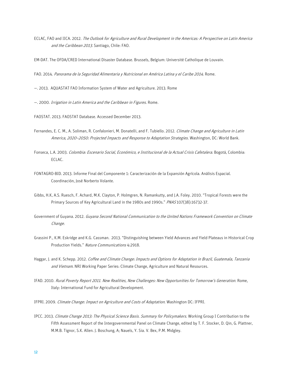- ECLAC, FAO and IICA. 2012. The Outlook for Agriculture and Rural Development in the Americas: A Perspective on Latin America and the Caribbean 2013. Santiago, Chile: FAO.
- EM-DAT. The OFDA/CRED International Disaster Database. Brussels, Belgium: Université Catholique de Louvain.
- FAO. 2014. Panorama de la Seguridad Alimentaria y Nutricional en América Latina y el Caribe 2014. Rome.
- —. 2013. AQUASTAT FAO Information System of Water and Agriculture. 2013. Rome
- —. 2000. Irrigation in Latin America and the Caribbean in Figures. Rome.
- FAOSTAT. 2013. FAOSTAT Database. Accessed December 2013.
- Fernandes, E. C. M., A. Soliman, R. Confalonieri, M. Donatelli, and F. Tubiello. 2012. Climate Change and Agriculture in Latin America, 2020-2050: Projected Impacts and Response to Adaptation Strategies. Washington, DC: World Bank.
- Fonseca, L.A. 2003. Colombia: Escenario Social, Económico, e Institucional de la Actual Crisis Cafetalera. Bogotá, Colombia: ECLAC.
- FONTAGRO-BID. 2013. Informe Final del Componente 1: Caracterización de la Expansión Agrícola. Análisis Espacial. Coordinación, José Norberto Volante.
- Gibbs, H.K, A.S. Ruesch, F. Achard, M.K. Clayton, P. Holmgren, N. Ramankutty, and J.A. Foley. 2010. "Tropical Forests were the Primary Sources of Key Agricultural Land in the 1980s and 1990s." PNAS 107(38):16732-37.
- Government of Guyana. 2012. Guyana Second National Communication to the United Nations Framework Convention on Climate Change.
- Grassini P., K.M. Eskridge and K.G. Cassman. 2013. "Distinguishing between Yield Advances and Yield Plateaus in Historical Crop Production Yields." Nature Communications 4:2918.
- Haggar, J. and K. Schepp. 2012. Coffee and Climate Change: Impacts and Options for Adaptation in Brazil, Guatemala, Tanzania and Vietnam. NRI Working Paper Series: Climate Change, Agriculture and Natural Resources.
- IFAD. 2010. Rural Poverty Report 2011. New Realities, New Challenges: New Opportunities for Tomorrow's Generation. Rome, Italy: International Fund for Agricultural Development.
- IFPRI. 2009. Climate Change: Impact on Agriculture and Costs of Adaptation. Washington DC: IFPRI.
- IPCC. 2013. Climate Change 2013: The Physical Science Basis. Summary for Policymakers. Working Group I Contribution to the Fifth Assessment Report of the Intergovernmental Panel on Climate Change, edited by T. F. Stocker, D. Qin, G. Plattner, M.M.B. Tignor, S.K. Allen. J. Boschung, A; Nauels, Y. Sia. V. Bex, P.M. Midgley.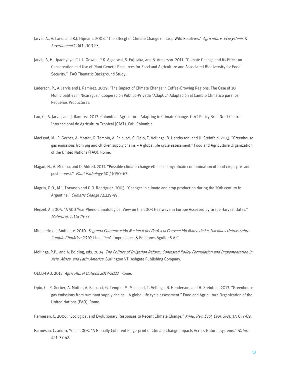- Jarvis, A., A. Lane, and R.J. Hijmans. 2008. "The Effecgt of Climate Change on Crop Wild Relatives." Agriculture, Ecosystems & Environment 126(1-2):13-23.
- Jarvis, A, H. Upadhyaya, C.L.L. Gowda, P.K. Aggarwal, S. Fujisaka, and B. Anderson. 2011. "Climate Change and its Effect on Conservation and Use of Plant Genetic Resources for Food and Agriculture and Associated Biodiversity for Food Security." FAO Thematic Background Study.
- Laderach, P., A. Jarvis and J. Ramirez. 2009. "The Impact of Climate Change in Coffee-Growing Regions: The Case of 10 Municipalities in Nicaragua." Cooperación Público-Privada "AdapCC" Adaptación al Cambio Climático para los Pequeños Productores.
- Lau, C., A. Jarvis, and J. Ramirez. 2013. Colombian Agriculture: Adapting to Climate Change. CIAT Policy Brief No. 1 Centro Internacional de Agricultura Tropical (CIAT). Cali, Colombia.
- MacLeod, M., P. Gerber, A. Mottet, G. Tempio, A. Falcucci, C. Opio, T. Vellinga, B. Henderson, and H. Steinfeld. 2013. "Greenhouse gas emissions from pig and chicken supply chains – A global life cycle assessment." Food and Agriculture Organization of the United Nations (FAO), Rome.
- Magan, N., A. Medina, and D. Aldred. 2011. "Possible climate-change effects on mycotoxin contamination of food crops pre- and postharvest." Plant Pathology 60(1):150-63.
- Magrin, G.O., M.I. Travasso and G.R. Rodríguez. 2005. "Changes in climate and crop production during the 20th century in Argentina." Climatic Change 72:229-49.
- Menzel, A. 2005. "A 500 Year Pheno-climatological View on the 2003 Heatwave in Europe Assessed by Grape Harvest Dates." Meterorol. Z. 14: 75-77.
- Ministerio del Ambiente. 2010. Segunda Comunicación Nacional del Perú a la Convención Marco de las Naciones Unidas sobre Cambio Climático 2010. Lima, Perú: Impresiones & Ediciones Aguilar S.A.C.
- Mollinga, P.P., and A. Bolding, eds. 2004. The Politics of Irrigation Reform: Contested Policy Formulation and Implementation in Asia, Africa, and Latin America. Burlington VT: Ashgate Publishing Company.
- OECD-FAO. 2012. Agricultural Outlook 2013-2022. Rome.
- Opio, C., P. Gerber, A. Mottet, A. Falcucci, G. Tempio, M. MacLeod, T. Vellinga, B. Henderson, and H. Steinfeld. 2013. "Greenhouse gas emissions from ruminant supply chains – A global life cycle assessment." Food and Agriculture Organization of the United Nations (FAO), Rome.
- Parmesan, C. 2006. "Ecological and Evolutionary Responses to Recent Climate Change." Annu. Rev. Ecol. Evol. Syst. 37: 637-69.
- Parmesan, C. and G. Yohe. 2003. "A Globally Coherent Fingerprint of Climate Change Impacts Across Natural Systems." Nature 421: 37-42.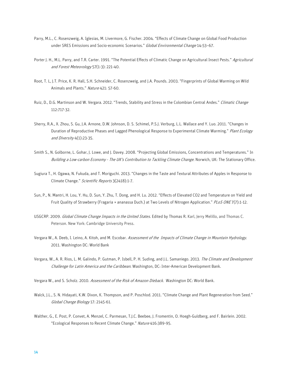- Parry, M.L., C. Rosenzweig, A. Iglesias, M. Livermore, G. Fischer. 2004. "Effects of Climate Change on Global Food Production under SRES Emissions and Socio-economic Scenarios." Global Environmental Change 14:53-67.
- Porter J. H., M.L. Parry, and T.R. Carter. 1991. "The Potential Effects of Climatic Change on [Agricultural](http://www.sciencedirect.com/science/journal/01681923) Insect Pests." Agricultural and Forest [Meteorology](http://www.sciencedirect.com/science/journal/01681923) 57(1-3): 221-40.
- Root, T. L, J.T. Price, K. R. Hall, S.H. Schneider, C. Rosenzweig, and J.A. Pounds. 2003. "Fingerprints of Global Warming on Wild Animals and Plants." Nature 421: 57-60.
- Ruiz, D., D.G. Martinson and W. Vergara. 2012. "Trends, Stability and Stress in the Colombian Central Andes." Climatic Change 112:717-32.
- Sherry, R.A., X. Zhou, S. Gu, J.A. Arnone, D.W. Johnson, D. S. Schimel, P.S.J. Verburg, L.L. Wallace and Y. Luo. 2011. "Changes in Duration of Reproductive Phases and Lagged Phenological Response to Experimental Climate Warming." Plant Ecology and Diversity 4(1):23-35.
- Smith S., N. Golborne, L. Gohar, J. Lowe, and J. Davey. 2008. "Projecting Global Emissions, Concentrations and Temperatures." In Building a Low-carbon Economy - The UK's Contribution to Tackling Climate Change. Norwich, UK: The Stationary Office.
- Sugiura T., H. Ogawa, N. Fukuda, and T. Moriguchi. 2013. "Changes in the Taste and Textural Attributes of Apples in Response to Climate Change." Scientific Reports 3(2418):1-7.
- Sun, P., N. Mantri, H. Lou, Y. Hu, D. Sun, Y. Zhu, T. Dong, and H. Lu. 2012. "Effects of Elevated CO2 and Temperature on Yield and Fruit Quality of Strawberry (Fragaria × ananassa Duch.) at Two Levels of Nitrogen Application." PLOS ONE7(7):1-12.
- USGCRP. 2009. [Global Climate Change Impacts in the United States.](http://globalchange.gov/what-we-do/assessment/previous-assessments/global-climate-change-impacts-in-the-us-2009) Edited by Thomas R. Karl, Jerry Melillo, and Thomas C. Peterson. New York: Cambridge University Press.
- Vergara W., A. Deeb, I. Leino, A. Kitoh, and M. Escobar. Assessment of the Impacts of Climate Change in Mountain Hydrology. 2011. Washington DC: World Bank
- Vergara, W., A. R. Rios, L. M. Galindo, P. Gutman, P. Isbell, P. H. Suding, and J.L. Samaniego. 2013. The Climate and Development Challenge for Latin America and the Caribbean. Washington, DC: Inter-American Development Bank.
- Vergara W., and S. Scholz. 2010. Assessment of the Risk of Amazon Dieback. Washington DC: World Bank.
- Walck, J.L., S. N. Hidayati, K.W. Dixon, K. Thompson, and P. Poschlod. 2011. "Climate Change and Plant Regeneration from Seed." Global Change Biology 17: 2145-61.
- Walther, G., E. Post, P. Convet, A. Menzel, C. Parmesan, T.J.C. Beebee, J. Fromentin, O. Hoegh-Guldberg, and F. Bairlein. 2002. "Ecological Responses to Recent Climate Change." Nature 416:389-95.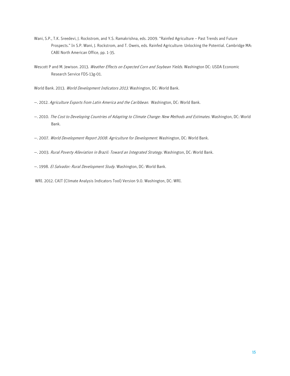- Wani, S.P., T.K. Sreedevi, J. Rockstrom, and Y.S. Ramakrishna, eds. 2009. "Rainfed Agriculture Past Trends and Future Prospects." In S.P. Wani, J. Rockstrom, and T. Oweis, eds. Rainfed Agriculture: Unlocking the Potential. Cambridge MA: CABI North American Office, pp. 1-35.
- Wescott P and M. Jewison. 2013. Weather Effects on Expected Corn and Soybean Yields. Washington DC: USDA Economic Research Service FDS-13g-01.

World Bank. 2013. World Development Indicators 2013. Washington, DC: World Bank.

- —. 2012. Agriculture Exports from Latin America and the Caribbean. Washington, DC: World Bank.
- —. 2010. The Cost to Developing Countries of Adapting to Climate Change: New Methods and Estimates. Washington, DC: World Bank.
- —. 2007. World Development Report 2008: Agriculture for Development. Washington, DC: World Bank.
- —. 2003. Rural Poverty Alleviation in Brazil: Toward an Integrated Strategy. Washington, DC: World Bank.
- —. 1998. El Salvador: Rural Development Study. Washington, DC: World Bank.
- WRI. 2012. CAIT (Climate Analysis Indicators Tool) Version 9.0. Washington, DC: WRI.